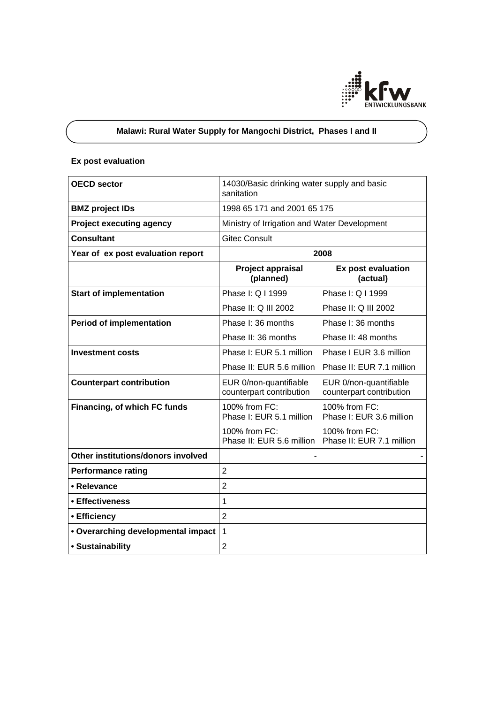

# **Malawi: Rural Water Supply for Mangochi District, Phases I and II**

# **Ex post evaluation**

| <b>OECD sector</b>                 | 14030/Basic drinking water supply and basic<br>sanitation |                                                    |
|------------------------------------|-----------------------------------------------------------|----------------------------------------------------|
| <b>BMZ</b> project IDs             | 1998 65 171 and 2001 65 175                               |                                                    |
| <b>Project executing agency</b>    | Ministry of Irrigation and Water Development              |                                                    |
| <b>Consultant</b>                  | <b>Gitec Consult</b>                                      |                                                    |
| Year of ex post evaluation report  | 2008                                                      |                                                    |
|                                    | Project appraisal<br>(planned)                            | Ex post evaluation<br>(actual)                     |
| <b>Start of implementation</b>     | Phase I: Q I 1999                                         | Phase I: Q I 1999                                  |
|                                    | Phase II: Q III 2002                                      | Phase II: Q III 2002                               |
| <b>Period of implementation</b>    | Phase I: 36 months                                        | Phase I: 36 months                                 |
|                                    | Phase II: 36 months                                       | Phase II: 48 months                                |
| <b>Investment costs</b>            | Phase I: EUR 5.1 million                                  | Phase I EUR 3.6 million                            |
|                                    | Phase II: EUR 5.6 million                                 | Phase II: EUR 7.1 million                          |
| <b>Counterpart contribution</b>    | EUR 0/non-quantifiable<br>counterpart contribution        | EUR 0/non-quantifiable<br>counterpart contribution |
| Financing, of which FC funds       | 100% from FC:<br>Phase I: EUR 5.1 million                 | 100% from FC:<br>Phase I: EUR 3.6 million          |
|                                    | 100% from FC:<br>Phase II: EUR 5.6 million                | 100% from FC:<br>Phase II: EUR 7.1 million         |
| Other institutions/donors involved |                                                           |                                                    |
| <b>Performance rating</b>          | $\overline{2}$                                            |                                                    |
| • Relevance                        | $\overline{2}$                                            |                                                    |
| • Effectiveness                    | 1                                                         |                                                    |
| • Efficiency                       | $\overline{2}$                                            |                                                    |
| • Overarching developmental impact | $\overline{1}$                                            |                                                    |
| • Sustainability                   | $\overline{2}$                                            |                                                    |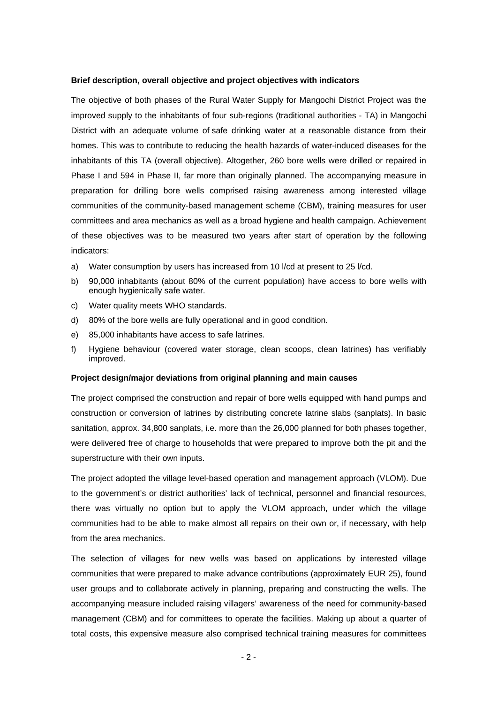#### **Brief description, overall objective and project objectives with indicators**

The objective of both phases of the Rural Water Supply for Mangochi District Project was the improved supply to the inhabitants of four sub-regions (traditional authorities - TA) in Mangochi District with an adequate volume of safe drinking water at a reasonable distance from their homes. This was to contribute to reducing the health hazards of water-induced diseases for the inhabitants of this TA (overall objective). Altogether, 260 bore wells were drilled or repaired in Phase I and 594 in Phase II, far more than originally planned. The accompanying measure in preparation for drilling bore wells comprised raising awareness among interested village communities of the community-based management scheme (CBM), training measures for user committees and area mechanics as well as a broad hygiene and health campaign. Achievement of these objectives was to be measured two years after start of operation by the following indicators:

- a) Water consumption by users has increased from 10 l/cd at present to 25 l/cd.
- b) 90,000 inhabitants (about 80% of the current population) have access to bore wells with enough hygienically safe water.
- c) Water quality meets WHO standards.
- d) 80% of the bore wells are fully operational and in good condition.
- e) 85,000 inhabitants have access to safe latrines.
- f) Hygiene behaviour (covered water storage, clean scoops, clean latrines) has verifiably improved.

#### **Project design/major deviations from original planning and main causes**

The project comprised the construction and repair of bore wells equipped with hand pumps and construction or conversion of latrines by distributing concrete latrine slabs (sanplats). In basic sanitation, approx. 34,800 sanplats, i.e. more than the 26,000 planned for both phases together, were delivered free of charge to households that were prepared to improve both the pit and the superstructure with their own inputs.

The project adopted the village level-based operation and management approach (VLOM). Due to the government's or district authorities' lack of technical, personnel and financial resources, there was virtually no option but to apply the VLOM approach, under which the village communities had to be able to make almost all repairs on their own or, if necessary, with help from the area mechanics.

The selection of villages for new wells was based on applications by interested village communities that were prepared to make advance contributions (approximately EUR 25), found user groups and to collaborate actively in planning, preparing and constructing the wells. The accompanying measure included raising villagers' awareness of the need for community-based management (CBM) and for committees to operate the facilities. Making up about a quarter of total costs, this expensive measure also comprised technical training measures for committees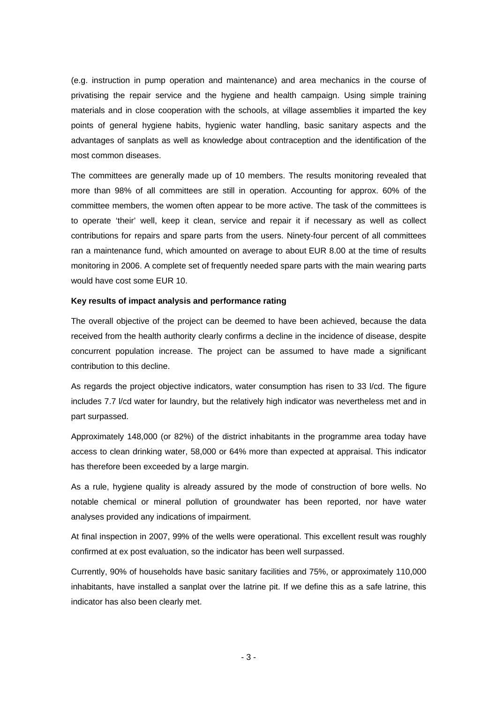(e.g. instruction in pump operation and maintenance) and area mechanics in the course of privatising the repair service and the hygiene and health campaign. Using simple training materials and in close cooperation with the schools, at village assemblies it imparted the key points of general hygiene habits, hygienic water handling, basic sanitary aspects and the advantages of sanplats as well as knowledge about contraception and the identification of the most common diseases.

The committees are generally made up of 10 members. The results monitoring revealed that more than 98% of all committees are still in operation. Accounting for approx. 60% of the committee members, the women often appear to be more active. The task of the committees is to operate 'their' well, keep it clean, service and repair it if necessary as well as collect contributions for repairs and spare parts from the users. Ninety-four percent of all committees ran a maintenance fund, which amounted on average to about EUR 8.00 at the time of results monitoring in 2006. A complete set of frequently needed spare parts with the main wearing parts would have cost some EUR 10.

### **Key results of impact analysis and performance rating**

The overall objective of the project can be deemed to have been achieved, because the data received from the health authority clearly confirms a decline in the incidence of disease, despite concurrent population increase. The project can be assumed to have made a significant contribution to this decline.

As regards the project objective indicators, water consumption has risen to 33 l/cd. The figure includes 7.7 l/cd water for laundry, but the relatively high indicator was nevertheless met and in part surpassed.

Approximately 148,000 (or 82%) of the district inhabitants in the programme area today have access to clean drinking water, 58,000 or 64% more than expected at appraisal. This indicator has therefore been exceeded by a large margin.

As a rule, hygiene quality is already assured by the mode of construction of bore wells. No notable chemical or mineral pollution of groundwater has been reported, nor have water analyses provided any indications of impairment.

At final inspection in 2007, 99% of the wells were operational. This excellent result was roughly confirmed at ex post evaluation, so the indicator has been well surpassed.

Currently, 90% of households have basic sanitary facilities and 75%, or approximately 110,000 inhabitants, have installed a sanplat over the latrine pit. If we define this as a safe latrine, this indicator has also been clearly met.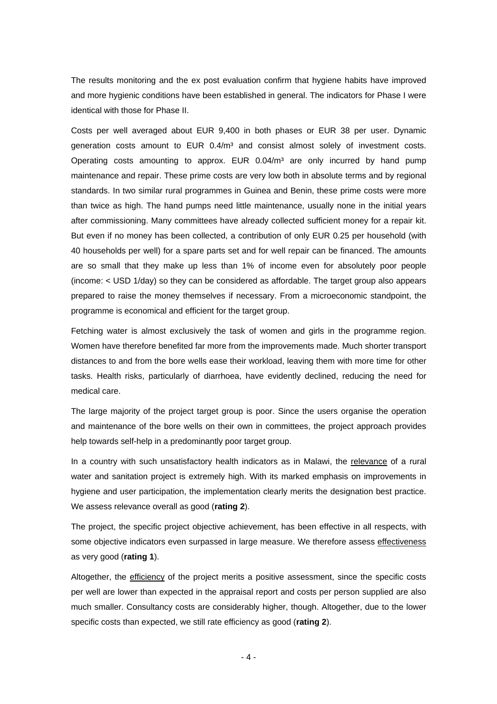The results monitoring and the ex post evaluation confirm that hygiene habits have improved and more hygienic conditions have been established in general. The indicators for Phase I were identical with those for Phase II.

Costs per well averaged about EUR 9,400 in both phases or EUR 38 per user. Dynamic generation costs amount to  $EUR$  0.4/ $m<sup>3</sup>$  and consist almost solely of investment costs. Operating costs amounting to approx. EUR  $0.04/m<sup>3</sup>$  are only incurred by hand pump maintenance and repair. These prime costs are very low both in absolute terms and by regional standards. In two similar rural programmes in Guinea and Benin, these prime costs were more than twice as high. The hand pumps need little maintenance, usually none in the initial years after commissioning. Many committees have already collected sufficient money for a repair kit. But even if no money has been collected, a contribution of only EUR 0.25 per household (with 40 households per well) for a spare parts set and for well repair can be financed. The amounts are so small that they make up less than 1% of income even for absolutely poor people (income: < USD 1/day) so they can be considered as affordable. The target group also appears prepared to raise the money themselves if necessary. From a microeconomic standpoint, the programme is economical and efficient for the target group.

Fetching water is almost exclusively the task of women and girls in the programme region. Women have therefore benefited far more from the improvements made. Much shorter transport distances to and from the bore wells ease their workload, leaving them with more time for other tasks. Health risks, particularly of diarrhoea, have evidently declined, reducing the need for medical care.

The large majority of the project target group is poor. Since the users organise the operation and maintenance of the bore wells on their own in committees, the project approach provides help towards self-help in a predominantly poor target group.

In a country with such unsatisfactory health indicators as in Malawi, the relevance of a rural water and sanitation project is extremely high. With its marked emphasis on improvements in hygiene and user participation, the implementation clearly merits the designation best practice. We assess relevance overall as good (**rating 2**).

The project, the specific project objective achievement, has been effective in all respects, with some objective indicators even surpassed in large measure. We therefore assess effectiveness as very good (**rating 1**).

Altogether, the efficiency of the project merits a positive assessment, since the specific costs per well are lower than expected in the appraisal report and costs per person supplied are also much smaller. Consultancy costs are considerably higher, though. Altogether, due to the lower specific costs than expected, we still rate efficiency as good (**rating 2**).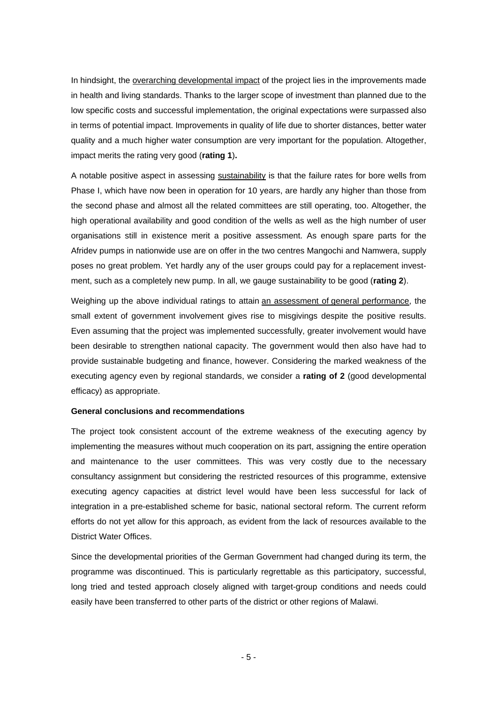In hindsight, the overarching developmental impact of the project lies in the improvements made in health and living standards. Thanks to the larger scope of investment than planned due to the low specific costs and successful implementation, the original expectations were surpassed also in terms of potential impact. Improvements in quality of life due to shorter distances, better water quality and a much higher water consumption are very important for the population. Altogether, impact merits the rating very good (**rating 1**)**.** 

A notable positive aspect in assessing sustainability is that the failure rates for bore wells from Phase I, which have now been in operation for 10 years, are hardly any higher than those from the second phase and almost all the related committees are still operating, too. Altogether, the high operational availability and good condition of the wells as well as the high number of user organisations still in existence merit a positive assessment. As enough spare parts for the Afridev pumps in nationwide use are on offer in the two centres Mangochi and Namwera, supply poses no great problem. Yet hardly any of the user groups could pay for a replacement investment, such as a completely new pump. In all, we gauge sustainability to be good (**rating 2**).

Weighing up the above individual ratings to attain an assessment of general performance, the small extent of government involvement gives rise to misgivings despite the positive results. Even assuming that the project was implemented successfully, greater involvement would have been desirable to strengthen national capacity. The government would then also have had to provide sustainable budgeting and finance, however. Considering the marked weakness of the executing agency even by regional standards, we consider a **rating of 2** (good developmental efficacy) as appropriate.

### **General conclusions and recommendations**

The project took consistent account of the extreme weakness of the executing agency by implementing the measures without much cooperation on its part, assigning the entire operation and maintenance to the user committees. This was very costly due to the necessary consultancy assignment but considering the restricted resources of this programme, extensive executing agency capacities at district level would have been less successful for lack of integration in a pre-established scheme for basic, national sectoral reform. The current reform efforts do not yet allow for this approach, as evident from the lack of resources available to the District Water Offices.

Since the developmental priorities of the German Government had changed during its term, the programme was discontinued. This is particularly regrettable as this participatory, successful, long tried and tested approach closely aligned with target-group conditions and needs could easily have been transferred to other parts of the district or other regions of Malawi.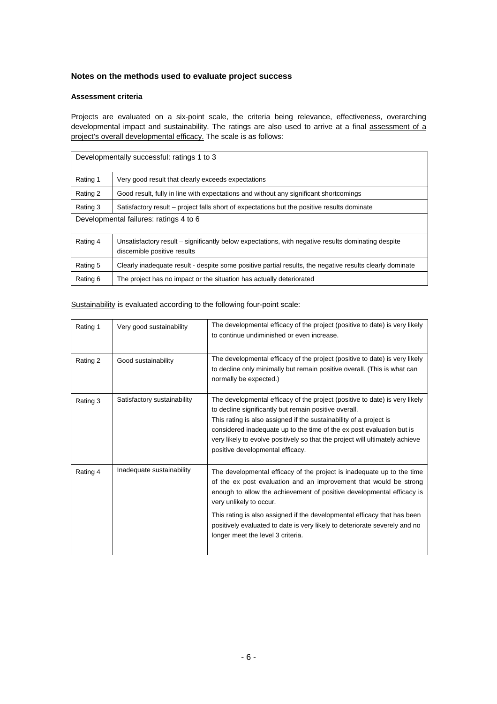## **Notes on the methods used to evaluate project success**

### **Assessment criteria**

Projects are evaluated on a six-point scale, the criteria being relevance, effectiveness, overarching developmental impact and sustainability. The ratings are also used to arrive at a final assessment of a project's overall developmental efficacy. The scale is as follows:

| Developmentally successful: ratings 1 to 3 |                                                                                                                                    |  |
|--------------------------------------------|------------------------------------------------------------------------------------------------------------------------------------|--|
| Rating 1                                   | Very good result that clearly exceeds expectations                                                                                 |  |
| Rating 2                                   | Good result, fully in line with expectations and without any significant shortcomings                                              |  |
| Rating 3                                   | Satisfactory result – project falls short of expectations but the positive results dominate                                        |  |
| Developmental failures: ratings 4 to 6     |                                                                                                                                    |  |
| Rating 4                                   | Unsatisfactory result – significantly below expectations, with negative results dominating despite<br>discernible positive results |  |
| Rating 5                                   | Clearly inadequate result - despite some positive partial results, the negative results clearly dominate                           |  |
| Rating 6                                   | The project has no impact or the situation has actually deteriorated                                                               |  |

| Rating 1 | Very good sustainability    | The developmental efficacy of the project (positive to date) is very likely<br>to continue undiminished or even increase.                                                                                                                                                                                                                                                                               |
|----------|-----------------------------|---------------------------------------------------------------------------------------------------------------------------------------------------------------------------------------------------------------------------------------------------------------------------------------------------------------------------------------------------------------------------------------------------------|
| Rating 2 | Good sustainability         | The developmental efficacy of the project (positive to date) is very likely<br>to decline only minimally but remain positive overall. (This is what can<br>normally be expected.)                                                                                                                                                                                                                       |
| Rating 3 | Satisfactory sustainability | The developmental efficacy of the project (positive to date) is very likely<br>to decline significantly but remain positive overall.<br>This rating is also assigned if the sustainability of a project is<br>considered inadequate up to the time of the ex post evaluation but is<br>very likely to evolve positively so that the project will ultimately achieve<br>positive developmental efficacy. |
| Rating 4 | Inadequate sustainability   | The developmental efficacy of the project is inadequate up to the time<br>of the ex post evaluation and an improvement that would be strong<br>enough to allow the achievement of positive developmental efficacy is<br>very unlikely to occur.                                                                                                                                                         |
|          |                             | This rating is also assigned if the developmental efficacy that has been<br>positively evaluated to date is very likely to deteriorate severely and no<br>longer meet the level 3 criteria.                                                                                                                                                                                                             |

Sustainability is evaluated according to the following four-point scale: